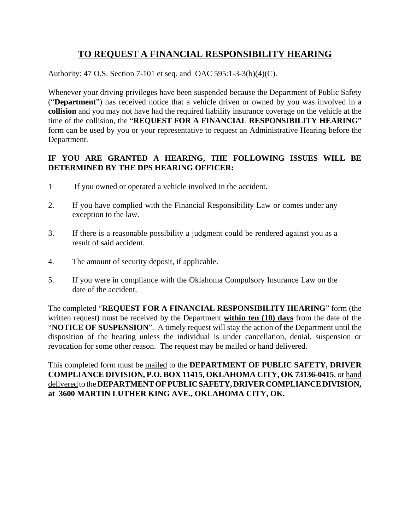# **TO REQUEST A FINANCIAL RESPONSIBILITY HEARING**

Authority: 47 O.S. Section 7-101 et seq. and OAC 595:1-3-3(b)(4)(C).

Whenever your driving privileges have been suspended because the Department of Public Safety ("**Department**") has received notice that a vehicle driven or owned by you was involved in a **collision** and you may not have had the required liability insurance coverage on the vehicle at the time of the collision, the "**REQUEST FOR A FINANCIAL RESPONSIBILITY HEARING**" form can be used by you or your representative to request an Administrative Hearing before the Department.

## **IF YOU ARE GRANTED A HEARING, THE FOLLOWING ISSUES WILL BE DETERMINED BY THE DPS HEARING OFFICER:**

- 1 If you owned or operated a vehicle involved in the accident.
- 2. If you have complied with the Financial Responsibility Law or comes under any exception to the law.
- 3. If there is a reasonable possibility a judgment could be rendered against you as a result of said accident.
- 4. The amount of security deposit, if applicable.
- 5. If you were in compliance with the Oklahoma Compulsory Insurance Law on the date of the accident.

The completed "**REQUEST FOR A FINANCIAL RESPONSIBILITY HEARING**" form (the written request) must be received by the Department **within ten (10) days** from the date of the "**NOTICE OF SUSPENSION**". A timely request will stay the action of the Department until the disposition of the hearing unless the individual is under cancellation, denial, suspension or revocation for some other reason. The request may be mailed or hand delivered.

This completed form must be mailed to the **DEPARTMENT OF PUBLIC SAFETY, DRIVER COMPLIANCE DIVISION, P.O. BOX 11415, OKLAHOMA CITY, OK 73136-0415**, or hand delivered to the **DEPARTMENT OF PUBLIC SAFETY, DRIVER COMPLIANCE DIVISION, at 3600 MARTIN LUTHER KING AVE., OKLAHOMA CITY, OK.**